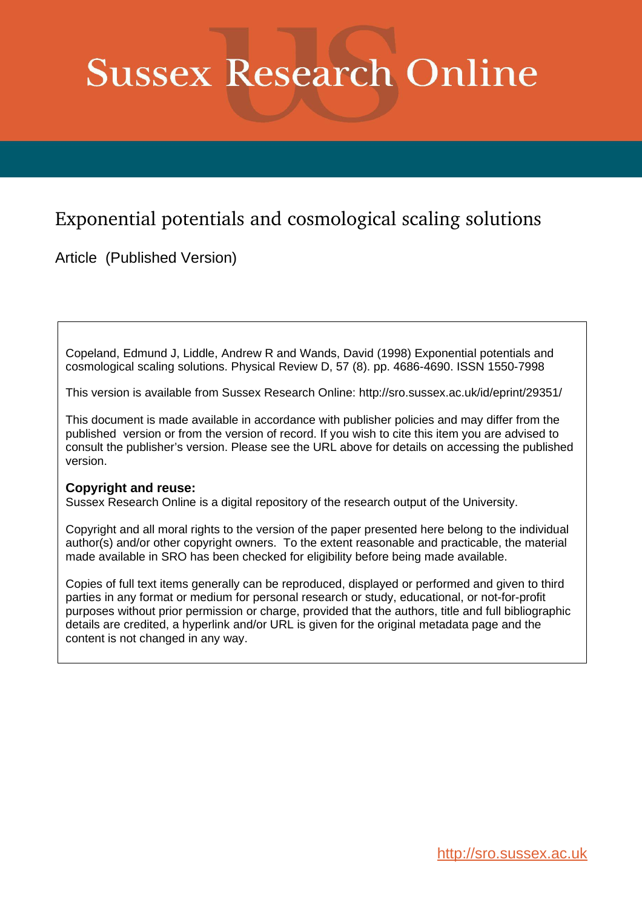# **Sussex Research Online**

## Exponential potentials and cosmological scaling solutions

Article (Published Version)

Copeland, Edmund J, Liddle, Andrew R and Wands, David (1998) Exponential potentials and cosmological scaling solutions. Physical Review D, 57 (8). pp. 4686-4690. ISSN 1550-7998

This version is available from Sussex Research Online: http://sro.sussex.ac.uk/id/eprint/29351/

This document is made available in accordance with publisher policies and may differ from the published version or from the version of record. If you wish to cite this item you are advised to consult the publisher's version. Please see the URL above for details on accessing the published version.

### **Copyright and reuse:**

Sussex Research Online is a digital repository of the research output of the University.

Copyright and all moral rights to the version of the paper presented here belong to the individual author(s) and/or other copyright owners. To the extent reasonable and practicable, the material made available in SRO has been checked for eligibility before being made available.

Copies of full text items generally can be reproduced, displayed or performed and given to third parties in any format or medium for personal research or study, educational, or not-for-profit purposes without prior permission or charge, provided that the authors, title and full bibliographic details are credited, a hyperlink and/or URL is given for the original metadata page and the content is not changed in any way.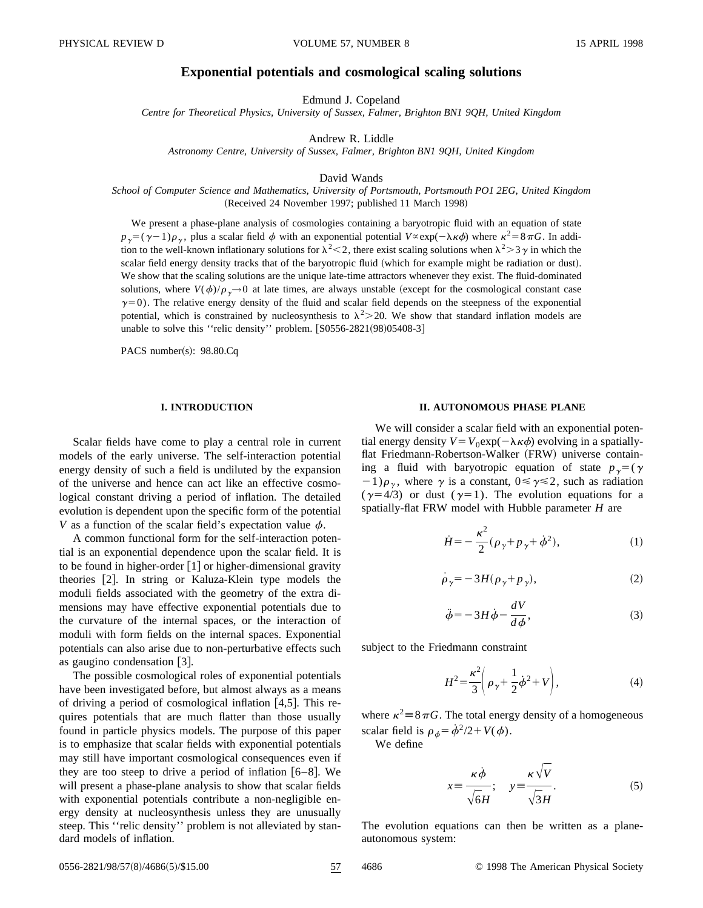#### **Exponential potentials and cosmological scaling solutions**

Edmund J. Copeland

*Centre for Theoretical Physics, University of Sussex, Falmer, Brighton BN1 9QH, United Kingdom*

Andrew R. Liddle

*Astronomy Centre, University of Sussex, Falmer, Brighton BN1 9QH, United Kingdom*

David Wands

*School of Computer Science and Mathematics, University of Portsmouth, Portsmouth PO1 2EG, United Kingdom* (Received 24 November 1997; published 11 March 1998)

We present a phase-plane analysis of cosmologies containing a baryotropic fluid with an equation of state  $p_{\gamma}=(\gamma-1)\rho_{\gamma}$ , plus a scalar field  $\phi$  with an exponential potential  $V^{\alpha}$ exp( $-\lambda \kappa \phi$ ) where  $\kappa^2=8\pi G$ . In addition to the well-known inflationary solutions for  $\lambda^2$  < 2, there exist scaling solutions when  $\lambda^2$  > 3  $\gamma$  in which the scalar field energy density tracks that of the baryotropic fluid (which for example might be radiation or dust). We show that the scaling solutions are the unique late-time attractors whenever they exist. The fluid-dominated solutions, where  $V(\phi)/\rho_{\gamma} \rightarrow 0$  at late times, are always unstable (except for the cosmological constant case  $\gamma=0$ ). The relative energy density of the fluid and scalar field depends on the steepness of the exponential potential, which is constrained by nucleosynthesis to  $\lambda^2$   $\geq$  20. We show that standard inflation models are unable to solve this "relic density" problem.  $[$ S0556-2821(98)05408-3 $]$ 

PACS number(s):  $98.80.Cq$ 

#### **I. INTRODUCTION**

Scalar fields have come to play a central role in current models of the early universe. The self-interaction potential energy density of such a field is undiluted by the expansion of the universe and hence can act like an effective cosmological constant driving a period of inflation. The detailed evolution is dependent upon the specific form of the potential *V* as a function of the scalar field's expectation value  $\phi$ .

A common functional form for the self-interaction potential is an exponential dependence upon the scalar field. It is to be found in higher-order  $[1]$  or higher-dimensional gravity theories [2]. In string or Kaluza-Klein type models the moduli fields associated with the geometry of the extra dimensions may have effective exponential potentials due to the curvature of the internal spaces, or the interaction of moduli with form fields on the internal spaces. Exponential potentials can also arise due to non-perturbative effects such as gaugino condensation  $[3]$ .

The possible cosmological roles of exponential potentials have been investigated before, but almost always as a means of driving a period of cosmological inflation  $[4,5]$ . This requires potentials that are much flatter than those usually found in particle physics models. The purpose of this paper is to emphasize that scalar fields with exponential potentials may still have important cosmological consequences even if they are too steep to drive a period of inflation  $[6–8]$ . We will present a phase-plane analysis to show that scalar fields with exponential potentials contribute a non-negligible energy density at nucleosynthesis unless they are unusually steep. This ''relic density'' problem is not alleviated by standard models of inflation.

#### **II. AUTONOMOUS PHASE PLANE**

We will consider a scalar field with an exponential potential energy density  $V = V_0 \exp(-\lambda \kappa \phi)$  evolving in a spatiallyflat Friedmann-Robertson-Walker (FRW) universe containing a fluid with baryotropic equation of state  $p<sub>y</sub>=(\gamma)$  $(1)$  $\rho_{\gamma}$ , where  $\gamma$  is a constant,  $0 \le \gamma \le 2$ , such as radiation  $(\gamma=4/3)$  or dust  $(\gamma=1)$ . The evolution equations for a spatially-flat FRW model with Hubble parameter *H* are

$$
\dot{H} = -\frac{\kappa^2}{2} (\rho_{\gamma} + p_{\gamma} + \phi^2),
$$
 (1)

$$
\dot{\rho}_{\gamma} = -3H(\rho_{\gamma} + p_{\gamma}),\tag{2}
$$

$$
\ddot{\phi} = -3H\dot{\phi} - \frac{dV}{d\phi},\tag{3}
$$

subject to the Friedmann constraint

$$
H^2 = \frac{\kappa^2}{3} \left( \rho_\gamma + \frac{1}{2} \dot{\phi}^2 + V \right),\tag{4}
$$

where  $\kappa^2$  = 8 $\pi$ *G*. The total energy density of a homogeneous scalar field is  $\rho_{\phi} = \dot{\phi}^2/2 + V(\phi)$ .

We define

$$
x \equiv \frac{\kappa \dot{\phi}}{\sqrt{6}H}; \quad y \equiv \frac{\kappa \sqrt{V}}{\sqrt{3}H}.
$$
 (5)

The evolution equations can then be written as a planeautonomous system:

0556-2821/98/57(8)/4686(5)/\$15.00 57 4686 © 1998 The American Physical Society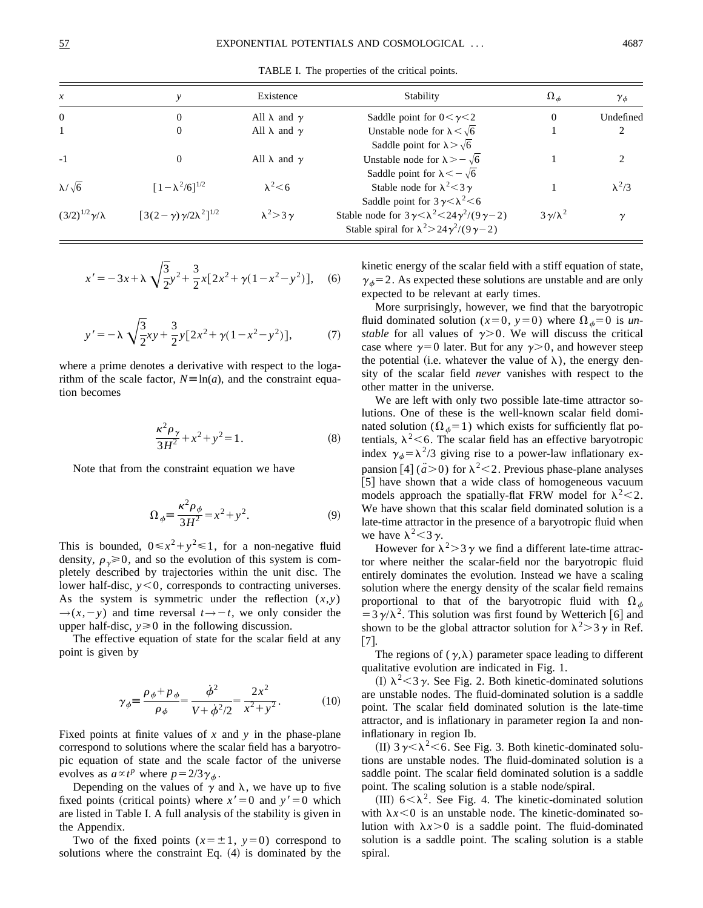TABLE I. The properties of the critical points.

| $\mathcal{X}$               |                                        | Existence                  | Stability                                                                                                                                                                  | $\Omega_{ab}$       | ${\gamma}_{\phi}$ |
|-----------------------------|----------------------------------------|----------------------------|----------------------------------------------------------------------------------------------------------------------------------------------------------------------------|---------------------|-------------------|
| $\theta$                    | 0                                      | All $\lambda$ and $\gamma$ | Saddle point for $0 < \gamma < 2$                                                                                                                                          |                     | Undefined         |
|                             | 0                                      | All $\lambda$ and $\gamma$ | Unstable node for $\lambda < \sqrt{6}$<br>Saddle point for $\lambda > \sqrt{6}$                                                                                            |                     |                   |
| $-1$                        | $\Omega$                               | All $\lambda$ and $\gamma$ | Unstable node for $\lambda > -\sqrt{6}$                                                                                                                                    |                     |                   |
| $\lambda/\sqrt{6}$          | $[1-\lambda^2/6]^{1/2}$                | $\lambda^2$ < 6            | Saddle point for $\lambda < -\sqrt{6}$<br>Stable node for $\lambda^2$ < 3 $\gamma$                                                                                         |                     | $\lambda^2/3$     |
| $(3/2)^{1/2}\gamma/\lambda$ | $[3(2-\gamma)\gamma/2\lambda^2]^{1/2}$ | $\lambda^2$ > 3 $\gamma$   | Saddle point for $3\gamma < \lambda^2 < 6$<br>Stable node for $3\gamma < \lambda^2 < 24\gamma^2/(9\gamma - 2)$<br>Stable spiral for $\lambda^2 > 24\gamma^2/(9\gamma - 2)$ | $3\gamma/\lambda^2$ |                   |

$$
x' = -3x + \lambda \sqrt{\frac{3}{2}} y^2 + \frac{3}{2} x [2x^2 + \gamma (1 - x^2 - y^2)], \quad (6)
$$

$$
y' = -\lambda \sqrt{\frac{3}{2}}xy + \frac{3}{2}y[2x^2 + \gamma(1 - x^2 - y^2)],
$$
 (7)

where a prime denotes a derivative with respect to the logarithm of the scale factor,  $N \equiv \ln(a)$ , and the constraint equation becomes

$$
\frac{\kappa^2 \rho_{\gamma}}{3H^2} + x^2 + y^2 = 1.
$$
 (8)

Note that from the constraint equation we have

$$
\Omega_{\phi} \equiv \frac{\kappa^2 \rho_{\phi}}{3H^2} = x^2 + y^2. \tag{9}
$$

This is bounded,  $0 \le x^2 + y^2 \le 1$ , for a non-negative fluid density,  $\rho_{\gamma} \ge 0$ , and so the evolution of this system is completely described by trajectories within the unit disc. The lower half-disc,  $y < 0$ , corresponds to contracting universes. As the system is symmetric under the reflection  $(x, y)$  $\rightarrow$ (*x*, - *y*) and time reversal *t* $\rightarrow$  - *t*, we only consider the upper half-disc,  $y \ge 0$  in the following discussion.

The effective equation of state for the scalar field at any point is given by

$$
\gamma_{\phi} \equiv \frac{\rho_{\phi} + p_{\phi}}{\rho_{\phi}} = \frac{\dot{\phi}^2}{V + \dot{\phi}^2/2} = \frac{2x^2}{x^2 + y^2}.
$$
 (10)

Fixed points at finite values of *x* and *y* in the phase-plane correspond to solutions where the scalar field has a baryotropic equation of state and the scale factor of the universe evolves as  $a \propto t^p$  where  $p = 2/3\gamma_{\phi}$ .

Depending on the values of  $\gamma$  and  $\lambda$ , we have up to five fixed points (critical points) where  $x' = 0$  and  $y' = 0$  which are listed in Table I. A full analysis of the stability is given in the Appendix.

Two of the fixed points  $(x=\pm 1, y=0)$  correspond to solutions where the constraint Eq.  $(4)$  is dominated by the kinetic energy of the scalar field with a stiff equation of state,  $\gamma_{\phi}$ =2. As expected these solutions are unstable and are only expected to be relevant at early times.

More surprisingly, however, we find that the baryotropic fluid dominated solution ( $x=0$ ,  $y=0$ ) where  $\Omega_{\phi}=0$  is *unstable* for all values of  $\gamma > 0$ . We will discuss the critical case where  $\gamma=0$  later. But for any  $\gamma>0$ , and however steep the potential (i.e. whatever the value of  $\lambda$ ), the energy density of the scalar field *never* vanishes with respect to the other matter in the universe.

We are left with only two possible late-time attractor solutions. One of these is the well-known scalar field dominated solution ( $\Omega_{\phi}=1$ ) which exists for sufficiently flat potentials,  $\lambda^2$  < 6. The scalar field has an effective baryotropic index  $\gamma_{\phi} = \lambda^2/3$  giving rise to a power-law inflationary expansion  $[4]$  ( $\ddot{a} > 0$ ) for  $\lambda^2 < 2$ . Previous phase-plane analyses [5] have shown that a wide class of homogeneous vacuum models approach the spatially-flat FRW model for  $\lambda^2$  < 2. We have shown that this scalar field dominated solution is a late-time attractor in the presence of a baryotropic fluid when we have  $\lambda^2$  < 3  $\gamma$ .

However for  $\lambda^2$  > 3  $\gamma$  we find a different late-time attractor where neither the scalar-field nor the baryotropic fluid entirely dominates the evolution. Instead we have a scaling solution where the energy density of the scalar field remains proportional to that of the baryotropic fluid with  $\Omega_{\phi}$  $=3\gamma/\lambda^2$ . This solution was first found by Wetterich [6] and shown to be the global attractor solution for  $\lambda^2 > 3\gamma$  in Ref.  $\lceil 7 \rceil$ .

The regions of  $(\gamma,\lambda)$  parameter space leading to different qualitative evolution are indicated in Fig. 1.

(I)  $\lambda^2$  < 3  $\gamma$ . See Fig. 2. Both kinetic-dominated solutions are unstable nodes. The fluid-dominated solution is a saddle point. The scalar field dominated solution is the late-time attractor, and is inflationary in parameter region Ia and noninflationary in region Ib.

(II)  $3\gamma < \lambda^2 < 6$ . See Fig. 3. Both kinetic-dominated solutions are unstable nodes. The fluid-dominated solution is a saddle point. The scalar field dominated solution is a saddle point. The scaling solution is a stable node/spiral.

(III)  $6<\lambda^2$ . See Fig. 4. The kinetic-dominated solution with  $\lambda x < 0$  is an unstable node. The kinetic-dominated solution with  $\lambda x > 0$  is a saddle point. The fluid-dominated solution is a saddle point. The scaling solution is a stable spiral.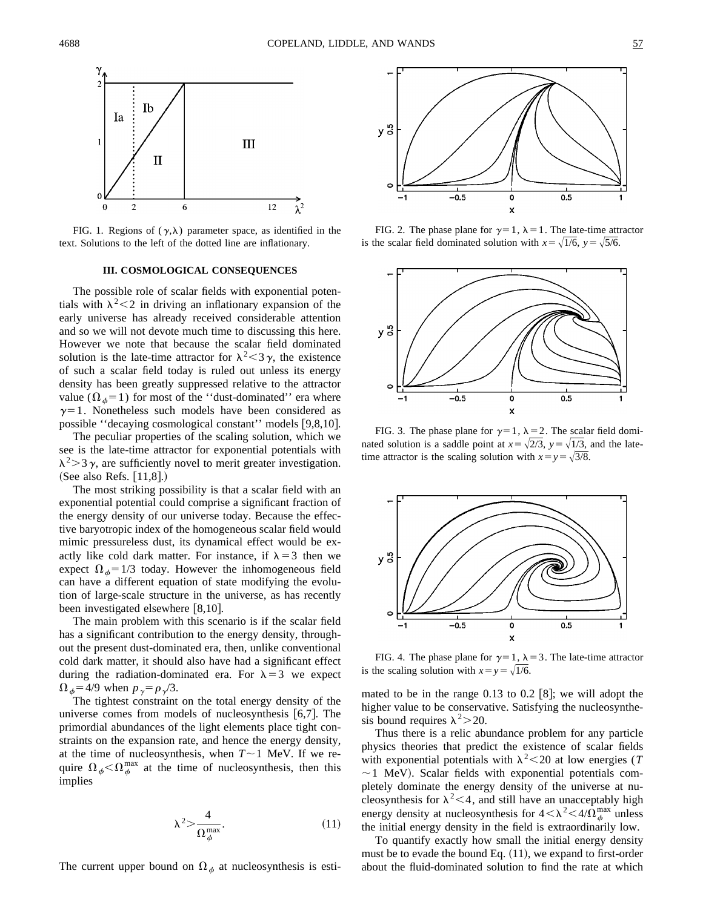

FIG. 1. Regions of  $(\gamma, \lambda)$  parameter space, as identified in the text. Solutions to the left of the dotted line are inflationary.

#### **III. COSMOLOGICAL CONSEQUENCES**

The possible role of scalar fields with exponential potentials with  $\lambda^2$  < 2 in driving an inflationary expansion of the early universe has already received considerable attention and so we will not devote much time to discussing this here. However we note that because the scalar field dominated solution is the late-time attractor for  $\lambda^2 < 3\gamma$ , the existence of such a scalar field today is ruled out unless its energy density has been greatly suppressed relative to the attractor value ( $\Omega_{\phi}$ =1) for most of the "dust-dominated" era where  $\gamma=1$ . Nonetheless such models have been considered as possible "decaying cosmological constant" models [9,8,10].

The peculiar properties of the scaling solution, which we see is the late-time attractor for exponential potentials with  $\lambda^2$  > 3  $\gamma$ , are sufficiently novel to merit greater investigation. (See also Refs.  $[11,8]$ .)

The most striking possibility is that a scalar field with an exponential potential could comprise a significant fraction of the energy density of our universe today. Because the effective baryotropic index of the homogeneous scalar field would mimic pressureless dust, its dynamical effect would be exactly like cold dark matter. For instance, if  $\lambda = 3$  then we expect  $\Omega_{\phi} = 1/3$  today. However the inhomogeneous field can have a different equation of state modifying the evolution of large-scale structure in the universe, as has recently been investigated elsewhere  $[8,10]$ .

The main problem with this scenario is if the scalar field has a significant contribution to the energy density, throughout the present dust-dominated era, then, unlike conventional cold dark matter, it should also have had a significant effect during the radiation-dominated era. For  $\lambda = 3$  we expect  $\Omega_{\phi}$ =4/9 when  $p_{\gamma} = \rho_{\gamma}/3$ .

The tightest constraint on the total energy density of the universe comes from models of nucleosynthesis  $[6,7]$ . The primordial abundances of the light elements place tight constraints on the expansion rate, and hence the energy density, at the time of nucleosynthesis, when  $T \sim 1$  MeV. If we require  $\Omega_{\phi} < \Omega_{\phi}^{\max}$  at the time of nucleosynthesis, then this implies

$$
\lambda^2 > \frac{4}{\Omega_{\phi}^{\max}}.\tag{11}
$$

The current upper bound on  $\Omega_{\phi}$  at nucleosynthesis is esti-



FIG. 2. The phase plane for  $\gamma=1$ ,  $\lambda=1$ . The late-time attractor is the scalar field dominated solution with  $x = \sqrt{1/6}$ ,  $y = \sqrt{5/6}$ .



FIG. 3. The phase plane for  $\gamma=1$ ,  $\lambda=2$ . The scalar field dominated solution is a saddle point at  $x = \sqrt{2/3}$ ,  $y = \sqrt{1/3}$ , and the latetime attractor is the scaling solution with  $x = y = \sqrt{3}/8$ .



FIG. 4. The phase plane for  $\gamma=1$ ,  $\lambda=3$ . The late-time attractor is the scaling solution with  $x=y=\sqrt{1/6}$ .

mated to be in the range  $0.13$  to  $0.2$  [8]; we will adopt the higher value to be conservative. Satisfying the nucleosynthesis bound requires  $\lambda^2$  > 20.

Thus there is a relic abundance problem for any particle physics theories that predict the existence of scalar fields with exponential potentials with  $\lambda^2$  < 20 at low energies (*T*  $\sim$  1 MeV). Scalar fields with exponential potentials completely dominate the energy density of the universe at nucleosynthesis for  $\lambda^2$ <4, and still have an unacceptably high energy density at nucleosynthesis for  $4 < \lambda^2 < 4/\Omega_{\phi}^{\text{max}}$  unless the initial energy density in the field is extraordinarily low.

To quantify exactly how small the initial energy density must be to evade the bound Eq.  $(11)$ , we expand to first-order about the fluid-dominated solution to find the rate at which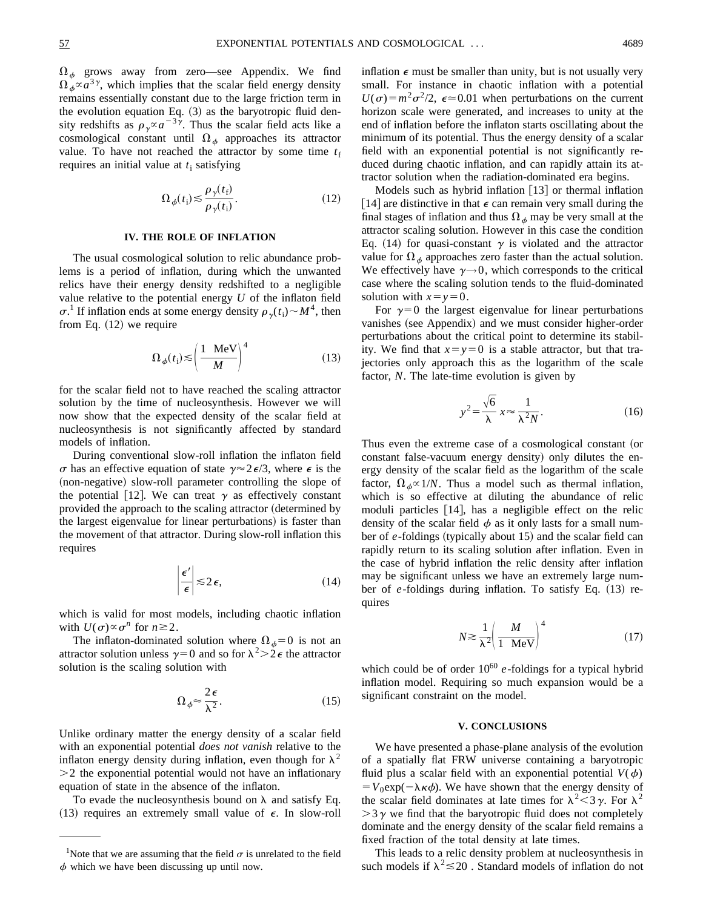$\Omega_{\phi}$  grows away from zero—see Appendix. We find  $\Omega_{\phi} \propto a^{3\gamma}$ , which implies that the scalar field energy density remains essentially constant due to the large friction term in the evolution equation Eq.  $(3)$  as the baryotropic fluid density redshifts as  $\rho_{\gamma} \propto a^{-3\gamma}$ . Thus the scalar field acts like a cosmological constant until  $\Omega_{\phi}$  approaches its attractor value. To have not reached the attractor by some time  $t_f$ requires an initial value at  $t_i$  satisfying

$$
\Omega_{\phi}(t_{\rm i}) \lesssim \frac{\rho_{\gamma}(t_{\rm f})}{\rho_{\gamma}(t_{\rm i})}.\tag{12}
$$

#### **IV. THE ROLE OF INFLATION**

The usual cosmological solution to relic abundance problems is a period of inflation, during which the unwanted relics have their energy density redshifted to a negligible value relative to the potential energy *U* of the inflaton field  $\sigma$ .<sup>1</sup> If inflation ends at some energy density  $\rho_{\gamma}(t_i) \sim M^4$ , then from Eq.  $(12)$  we require

$$
\Omega_{\phi}(t_i) \lesssim \left(\frac{1 \text{ MeV}}{M}\right)^4 \tag{13}
$$

for the scalar field not to have reached the scaling attractor solution by the time of nucleosynthesis. However we will now show that the expected density of the scalar field at nucleosynthesis is not significantly affected by standard models of inflation.

During conventional slow-roll inflation the inflaton field  $\sigma$  has an effective equation of state  $\gamma \approx 2\epsilon/3$ , where  $\epsilon$  is the (non-negative) slow-roll parameter controlling the slope of the potential [12]. We can treat  $\gamma$  as effectively constant provided the approach to the scaling attractor (determined by the largest eigenvalue for linear perturbations) is faster than the movement of that attractor. During slow-roll inflation this requires

$$
\left|\frac{\epsilon'}{\epsilon}\right| \lesssim 2\,\epsilon,\tag{14}
$$

which is valid for most models, including chaotic inflation with  $U(\sigma) \propto \sigma^n$  for  $n \ge 2$ .

The inflaton-dominated solution where  $\Omega_{\phi}=0$  is not an attractor solution unless  $\gamma=0$  and so for  $\lambda^2>2\epsilon$  the attractor solution is the scaling solution with

$$
\Omega_{\phi} \approx \frac{2\,\epsilon}{\lambda^2}.\tag{15}
$$

Unlike ordinary matter the energy density of a scalar field with an exponential potential *does not vanish* relative to the inflaton energy density during inflation, even though for  $\lambda^2$  $>$ 2 the exponential potential would not have an inflationary equation of state in the absence of the inflaton.

To evade the nucleosynthesis bound on  $\lambda$  and satisfy Eq. (13) requires an extremely small value of  $\epsilon$ . In slow-roll inflation  $\epsilon$  must be smaller than unity, but is not usually very small. For instance in chaotic inflation with a potential  $U(\sigma) = m^2 \sigma^2/2$ ,  $\epsilon \approx 0.01$  when perturbations on the current horizon scale were generated, and increases to unity at the end of inflation before the inflaton starts oscillating about the minimum of its potential. Thus the energy density of a scalar field with an exponential potential is not significantly reduced during chaotic inflation, and can rapidly attain its attractor solution when the radiation-dominated era begins.

Models such as hybrid inflation  $[13]$  or thermal inflation [14] are distinctive in that  $\epsilon$  can remain very small during the final stages of inflation and thus  $\Omega_{\phi}$  may be very small at the attractor scaling solution. However in this case the condition Eq. (14) for quasi-constant  $\gamma$  is violated and the attractor value for  $\Omega_{\phi}$  approaches zero faster than the actual solution. We effectively have  $\gamma \rightarrow 0$ , which corresponds to the critical case where the scaling solution tends to the fluid-dominated solution with  $x = y = 0$ .

For  $\gamma=0$  the largest eigenvalue for linear perturbations vanishes (see Appendix) and we must consider higher-order perturbations about the critical point to determine its stability. We find that  $x=y=0$  is a stable attractor, but that trajectories only approach this as the logarithm of the scale factor, *N*. The late-time evolution is given by

$$
y^2 = \frac{\sqrt{6}}{\lambda} x \approx \frac{1}{\lambda^2 N}.
$$
 (16)

Thus even the extreme case of a cosmological constant (or constant false-vacuum energy density) only dilutes the energy density of the scalar field as the logarithm of the scale factor,  $\Omega_{\phi} \propto 1/N$ . Thus a model such as thermal inflation, which is so effective at diluting the abundance of relic moduli particles  $[14]$ , has a negligible effect on the relic density of the scalar field  $\phi$  as it only lasts for a small number of *e*-foldings (typically about 15) and the scalar field can rapidly return to its scaling solution after inflation. Even in the case of hybrid inflation the relic density after inflation may be significant unless we have an extremely large number of *e*-foldings during inflation. To satisfy Eq. (13) requires

$$
N \gtrsim \frac{1}{\lambda^2} \left( \frac{M}{1 \text{ MeV}} \right)^4 \tag{17}
$$

which could be of order  $10^{60}$  *e*-foldings for a typical hybrid inflation model. Requiring so much expansion would be a significant constraint on the model.

#### **V. CONCLUSIONS**

We have presented a phase-plane analysis of the evolution of a spatially flat FRW universe containing a baryotropic fluid plus a scalar field with an exponential potential  $V(\phi)$  $=V_0 \exp(-\lambda \kappa \phi)$ . We have shown that the energy density of the scalar field dominates at late times for  $\lambda^2$  < 3  $\gamma$ . For  $\lambda^2$  $>3\gamma$  we find that the baryotropic fluid does not completely dominate and the energy density of the scalar field remains a fixed fraction of the total density at late times.

This leads to a relic density problem at nucleosynthesis in such models if  $\lambda^2 \le 20$ . Standard models of inflation do not

<sup>&</sup>lt;sup>1</sup>Note that we are assuming that the field  $\sigma$  is unrelated to the field  $\phi$  which we have been discussing up until now.